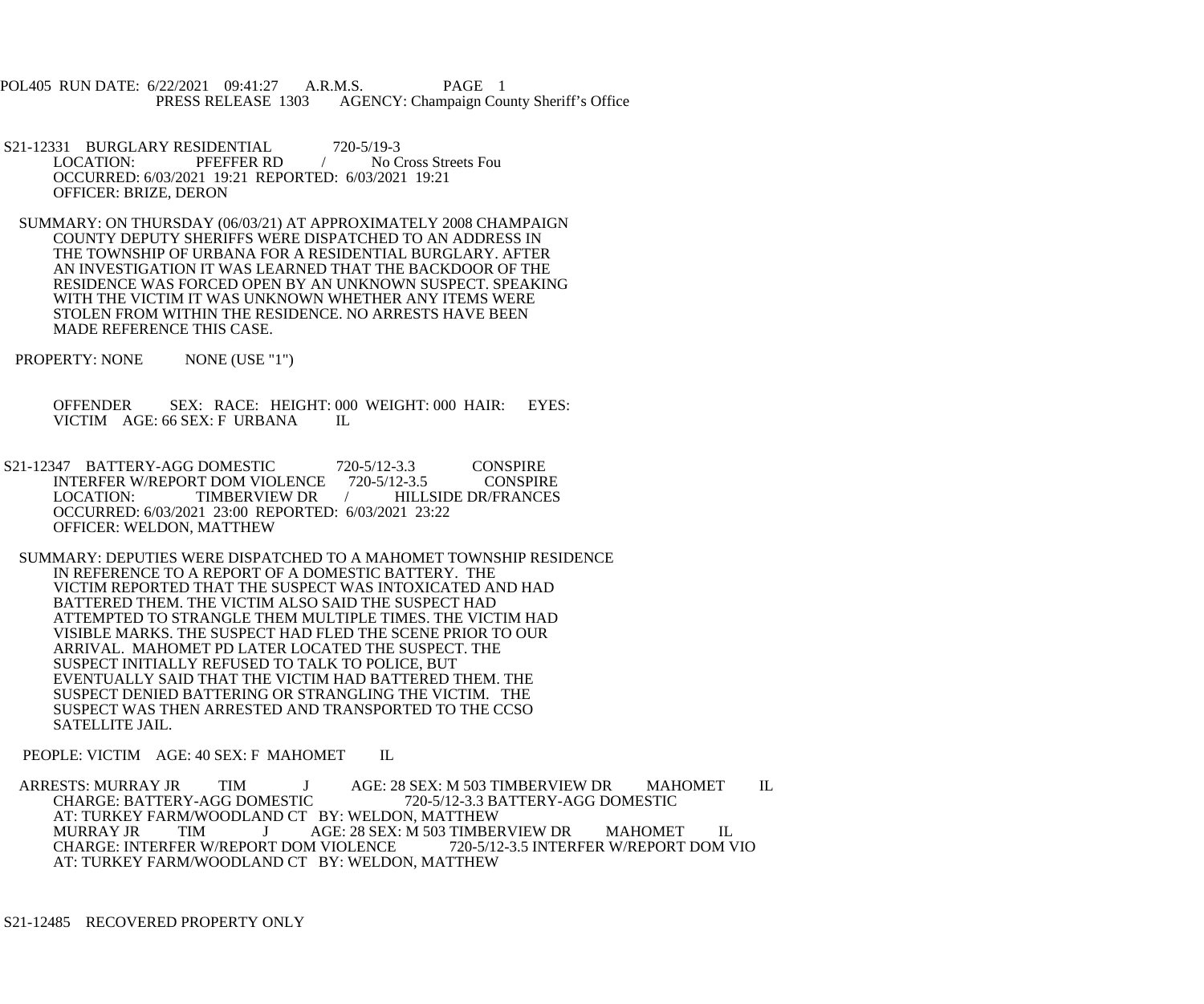POL405 RUN DATE: 6/22/2021 09:41:27 A.R.M.S. PAGE 1<br>PRESS RELEASE 1303 AGENCY: Champaign Cou AGENCY: Champaign County Sheriff's Office

S21-12331 BURGLARY RESIDENTIAL 720-5/19-3<br>LOCATION: PFEFFER RD / No C No Cross Streets Fou OCCURRED: 6/03/2021 19:21 REPORTED: 6/03/2021 19:21 OFFICER: BRIZE, DERON

 SUMMARY: ON THURSDAY (06/03/21) AT APPROXIMATELY 2008 CHAMPAIGN COUNTY DEPUTY SHERIFFS WERE DISPATCHED TO AN ADDRESS IN THE TOWNSHIP OF URBANA FOR A RESIDENTIAL BURGLARY. AFTER AN INVESTIGATION IT WAS LEARNED THAT THE BACKDOOR OF THE RESIDENCE WAS FORCED OPEN BY AN UNKNOWN SUSPECT. SPEAKING WITH THE VICTIM IT WAS UNKNOWN WHETHER ANY ITEMS WERE STOLEN FROM WITHIN THE RESIDENCE. NO ARRESTS HAVE BEEN MADE REFERENCE THIS CASE.

PROPERTY: NONE NONE (USE "1")

 OFFENDER SEX: RACE: HEIGHT: 000 WEIGHT: 000 HAIR: EYES: VICTIM AGE: 66 SEX: F URBANA IL

S21-12347 BATTERY-AGG DOMESTIC 720-5/12-3.3 CONSPIRE<br>INTERFER W/REPORT DOM VIOLENCE 720-5/12-3.5 CONSPIRE INTERFER W/REPORT DOM VIOLENCE<br>LOCATION: TIMBERVIEW DR LOCATION: TIMBERVIEW DR / HILLSIDE DR/FRANCES OCCURRED: 6/03/2021 23:00 REPORTED: 6/03/2021 23:22 OFFICER: WELDON, MATTHEW

 SUMMARY: DEPUTIES WERE DISPATCHED TO A MAHOMET TOWNSHIP RESIDENCE IN REFERENCE TO A REPORT OF A DOMESTIC BATTERY. THE VICTIM REPORTED THAT THE SUSPECT WAS INTOXICATED AND HAD BATTERED THEM. THE VICTIM ALSO SAID THE SUSPECT HAD ATTEMPTED TO STRANGLE THEM MULTIPLE TIMES. THE VICTIM HAD VISIBLE MARKS. THE SUSPECT HAD FLED THE SCENE PRIOR TO OUR ARRIVAL. MAHOMET PD LATER LOCATED THE SUSPECT. THE SUSPECT INITIALLY REFUSED TO TALK TO POLICE, BUT EVENTUALLY SAID THAT THE VICTIM HAD BATTERED THEM. THE SUSPECT DENIED BATTERING OR STRANGLING THE VICTIM. THE SUSPECT WAS THEN ARRESTED AND TRANSPORTED TO THE CCSO SATELLITE JAIL.

PEOPLE: VICTIM AGE: 40 SEX: F MAHOMET IL

ARRESTS: MURRAY JR TIM J AGE: 28 SEX: M 503 TIMBERVIEW DR MAHOMET IL CHARGE: BATTERY-AGG DOMESTIC 720-5/12-3.3 BATTERY-AGG DOMESTIC 720-5/12-3.3 BATTERY-AGG DOMESTIC AT: TURKEY FARM/WOODLAND CT BY: WELDON, MATTHEW<br>MURRAY JR TIM J AGE: 28 SEX: M 503 TIMBEI AGE: 28 SEX: M 503 TIMBERVIEW DR MAHOMET IL<br>M VIOLENCE 720-5/12-3.5 INTERFER W/REPORT DOM VIO CHARGE: INTERFER W/REPORT DOM VIOLENCE AT: TURKEY FARM/WOODLAND CT BY: WELDON, MATTHEW

S21-12485 RECOVERED PROPERTY ONLY